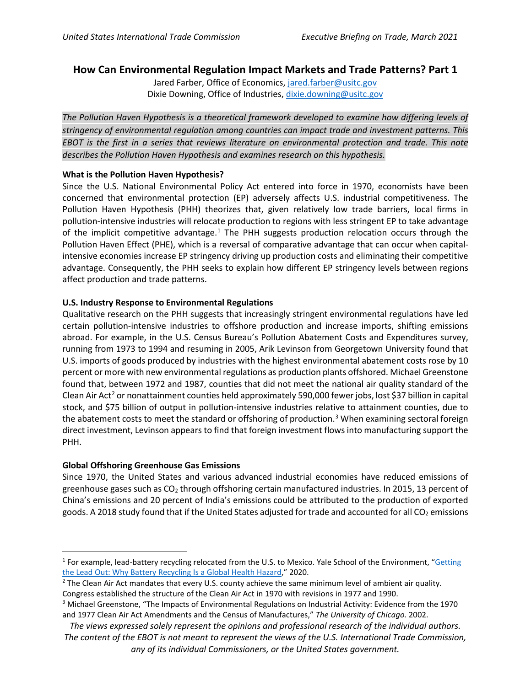# **How Can Environmental Regulation Impact Markets and Trade Patterns? Part 1**

Jared Farber, Office of Economics, [jared.farber@usitc.gov](mailto:jared.farber@usitc.gov) Dixie Downing, Office of Industries, [dixie.downing@usitc.gov](mailto:dixie.downing@usitc.gov)

*The Pollution Haven Hypothesis is a theoretical framework developed to examine how differing levels of stringency of environmental regulation among countries can impact trade and investment patterns. This EBOT is the first in a series that reviews literature on environmental protection and trade. This note describes the Pollution Haven Hypothesis and examines research on this hypothesis.*

#### **What is the Pollution Haven Hypothesis?**

Since the U.S. National Environmental Policy Act entered into force in 1970, economists have been concerned that environmental protection (EP) adversely affects U.S. industrial competitiveness. The Pollution Haven Hypothesis (PHH) theorizes that, given relatively low trade barriers, local firms in pollution-intensive industries will relocate production to regions with less stringent EP to take advantage of the implicit competitive advantage.<sup>[1](#page-0-0)</sup> The PHH suggests production relocation occurs through the Pollution Haven Effect (PHE), which is a reversal of comparative advantage that can occur when capitalintensive economies increase EP stringency driving up production costs and eliminating their competitive advantage. Consequently, the PHH seeks to explain how different EP stringency levels between regions affect production and trade patterns.

## **U.S. Industry Response to Environmental Regulations**

Qualitative research on the PHH suggests that increasingly stringent environmental regulations have led certain pollution-intensive industries to offshore production and increase imports, shifting emissions abroad. For example, in the U.S. Census Bureau's Pollution Abatement Costs and Expenditures survey, running from 1973 to 1994 and resuming in 2005, Arik Levinson from Georgetown University found that U.S. imports of goods produced by industries with the highest environmental abatement costs rose by 10 percent or more with new environmental regulations as production plants offshored. Michael Greenstone found that, between 1972 and 1987, counties that did not meet the national air quality standard of the Clean Air Act<sup>[2](#page-0-1)</sup> or nonattainment counties held approximately 590,000 fewer jobs, lost \$37 billion in capital stock, and \$75 billion of output in pollution-intensive industries relative to attainment counties, due to the abatement costs to meet the standard or offshoring of production.<sup>[3](#page-0-2)</sup> When examining sectoral foreign direct investment, Levinson appears to find that foreign investment flows into manufacturing support the PHH.

## **Global Offshoring Greenhouse Gas Emissions**

Since 1970, the United States and various advanced industrial economies have reduced emissions of greenhouse gases such as  $CO<sub>2</sub>$  through offshoring certain manufactured industries. In 2015, 13 percent of China's emissions and 20 percent of India's emissions could be attributed to the production of exported goods. A 2018 study found that if the United States adjusted for trade and accounted for all  $CO<sub>2</sub>$  emissions

<span id="page-0-0"></span> $1$  For example, lead-battery recycling relocated from the U.S. to Mexico. Yale School of the Environment, "Getting [the Lead Out: Why Battery Recycling Is a Global Health Hazard,](https://e360.yale.edu/features/getting-the-lead-out-why-battery-recycling-is-a-global-health-hazard)" 2020.

<span id="page-0-1"></span><sup>&</sup>lt;sup>2</sup> The Clean Air Act mandates that every U.S. county achieve the same minimum level of ambient air quality. Congress established the structure of the Clean Air Act in 1970 with revisions in 1977 and 1990.

<span id="page-0-2"></span><sup>3</sup> Michael Greenstone, "The Impacts of Environmental Regulations on Industrial Activity: Evidence from the 1970 and 1977 Clean Air Act Amendments and the Census of Manufactures," *The University of Chicago.* 2002.

*The views expressed solely represent the opinions and professional research of the individual authors. The content of the EBOT is not meant to represent the views of the U.S. International Trade Commission, any of its individual Commissioners, or the United States government.*